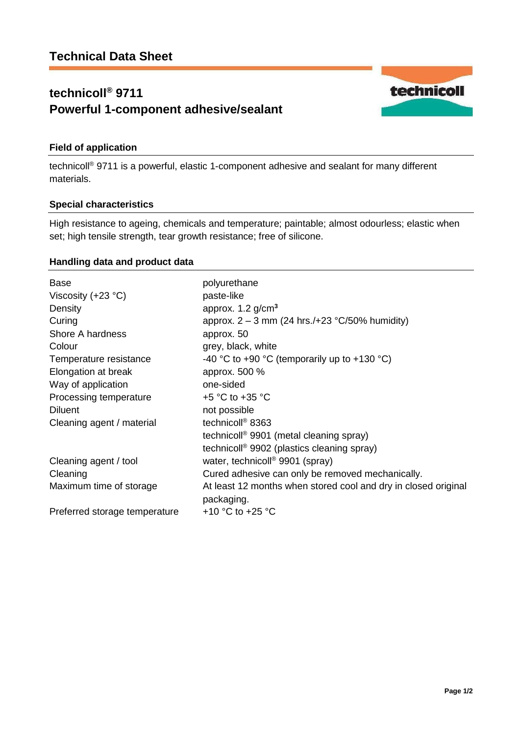# **technicoll® 9711 Powerful 1-component adhesive/sealant**



## **Field of application**

technicoll® 9711 is a powerful, elastic 1-component adhesive and sealant for many different materials.

### **Special characteristics**

High resistance to ageing, chemicals and temperature; paintable; almost odourless; elastic when set; high tensile strength, tear growth resistance; free of silicone.

### **Handling data and product data**

| <b>Base</b>                   | polyurethane                                                                 |
|-------------------------------|------------------------------------------------------------------------------|
| Viscosity $(+23 °C)$          | paste-like                                                                   |
| Density                       | approx. $1.2$ g/cm <sup>3</sup>                                              |
| Curing                        | approx. $2 - 3$ mm (24 hrs./+23 °C/50% humidity)                             |
| Shore A hardness              | approx. 50                                                                   |
| Colour                        | grey, black, white                                                           |
| Temperature resistance        | -40 °C to +90 °C (temporarily up to +130 °C)                                 |
| Elongation at break           | approx. 500 %                                                                |
| Way of application            | one-sided                                                                    |
| Processing temperature        | $+5$ °C to $+35$ °C                                                          |
| <b>Diluent</b>                | not possible                                                                 |
| Cleaning agent / material     | technicoll <sup>®</sup> 8363                                                 |
|                               | technicoll <sup>®</sup> 9901 (metal cleaning spray)                          |
|                               | technicoll <sup>®</sup> 9902 (plastics cleaning spray)                       |
| Cleaning agent / tool         | water, technicoll <sup>®</sup> 9901 (spray)                                  |
| Cleaning                      | Cured adhesive can only be removed mechanically.                             |
| Maximum time of storage       | At least 12 months when stored cool and dry in closed original<br>packaging. |
| Preferred storage temperature | +10 $^{\circ}$ C to +25 $^{\circ}$ C                                         |